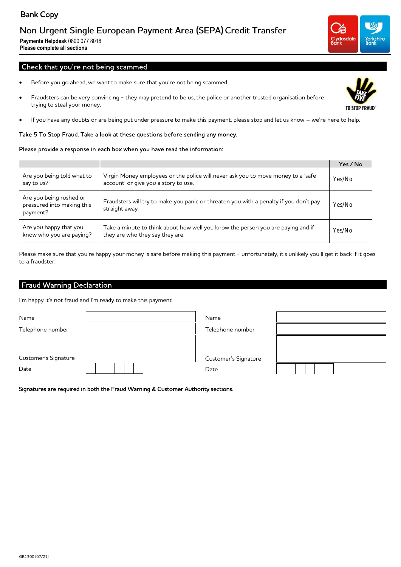## Bank Copy

## Non Urgent Single European Payment Area (SEPA) Credit Transfer

**Payments Helpdesk** 0800 077 8018 **Please complete all sections**

## Check that you're not being scammed

- Before you go ahead, we want to make sure that you're not being scammed.
- Fraudsters can be very convincing they may pretend to be us, the police or another trusted organisation before trying to steal your money.
- If you have any doubts or are being put under pressure to make this payment, please stop and let us know we're here to help.

### Take 5 To Stop Fraud. Take a look at these questions before sending any money.

### Please provide a response in each box when you have read the information:

|                                                                   |                                                                                                                          | Yes / No |
|-------------------------------------------------------------------|--------------------------------------------------------------------------------------------------------------------------|----------|
| Are you being told what to<br>say to us?                          | Virgin Money employees or the police will never ask you to move money to a 'safe<br>account' or give you a story to use. | Yes/No   |
| Are you being rushed or<br>pressured into making this<br>payment? | Fraudsters will try to make you panic or threaten you with a penalty if you don't pay<br>straight away.                  | Yes/No   |
| Are you happy that you<br>know who you are paying?                | Take a minute to think about how well you know the person you are paying and if<br>they are who they say they are.       | Yes/No   |

Please make sure that you're happy your money is safe before making this payment - unfortunately, it's unlikely you'll get it back if it goes to a fraudster.

## Fraud Warning Declaration

I'm happy it's not fraud and I'm ready to make this payment.

| Name                 | Name                 |  |
|----------------------|----------------------|--|
| Telephone number     | Telephone number     |  |
| Customer's Signature | Customer's Signature |  |
| Date                 | Date                 |  |

Signatures are required in both the Fraud Warning & Customer Authority sections.



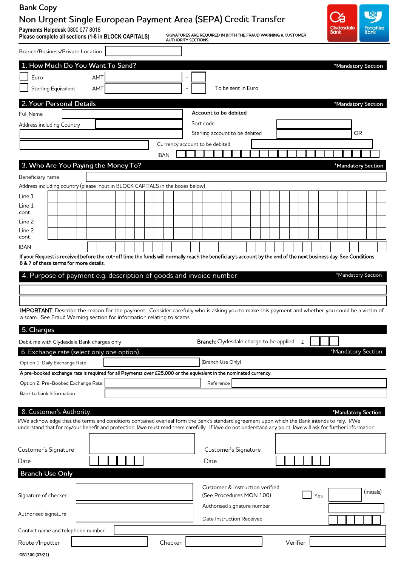# Bank Copy

# Non Urgent Single European Payment Area (SEPA) Credit Transfer

**Payments Helpdesk** 0800 077 8018

SIGNATURES ARE REQUIRED IN BOTH THE FRAUD WARNING & CUSTOMER



| Please complete all sections (1-8 in BLOCK CAPITALS)<br><b>AUTHORITY SECTIONS.</b>                                                                                            | SIGNATURES ARE REQUIRED IN BOTH THE FRAUD WARNING & CUSTOMER                                                                                                                                                                                                                                                                          |
|-------------------------------------------------------------------------------------------------------------------------------------------------------------------------------|---------------------------------------------------------------------------------------------------------------------------------------------------------------------------------------------------------------------------------------------------------------------------------------------------------------------------------------|
| Branch/Business/Private Location                                                                                                                                              |                                                                                                                                                                                                                                                                                                                                       |
| 1. How Much Do You Want To Send?                                                                                                                                              | *Mandatory Section                                                                                                                                                                                                                                                                                                                    |
| <b>AMT</b><br>Euro                                                                                                                                                            |                                                                                                                                                                                                                                                                                                                                       |
| Sterling Equivalent<br>AMT                                                                                                                                                    | To be sent in Euro                                                                                                                                                                                                                                                                                                                    |
| 2. Your Personal Details                                                                                                                                                      | *Mandatory Section                                                                                                                                                                                                                                                                                                                    |
| Full Name                                                                                                                                                                     | Account to be debited                                                                                                                                                                                                                                                                                                                 |
| Address including Country                                                                                                                                                     | Sort code                                                                                                                                                                                                                                                                                                                             |
|                                                                                                                                                                               | OR.<br>Sterling account to be debited                                                                                                                                                                                                                                                                                                 |
|                                                                                                                                                                               | Currency account to be debited                                                                                                                                                                                                                                                                                                        |
| <b>IBAN</b>                                                                                                                                                                   |                                                                                                                                                                                                                                                                                                                                       |
| 3. Who Are You Paying the Money To?                                                                                                                                           | *Mandatory Section                                                                                                                                                                                                                                                                                                                    |
| Beneficiary name<br>Address including country (please input in BLOCK CAPITALS in the boxes below)                                                                             |                                                                                                                                                                                                                                                                                                                                       |
| Line 1                                                                                                                                                                        |                                                                                                                                                                                                                                                                                                                                       |
| Line 1                                                                                                                                                                        |                                                                                                                                                                                                                                                                                                                                       |
| cont.                                                                                                                                                                         |                                                                                                                                                                                                                                                                                                                                       |
| Line 2<br>Line 2                                                                                                                                                              |                                                                                                                                                                                                                                                                                                                                       |
| cont.                                                                                                                                                                         |                                                                                                                                                                                                                                                                                                                                       |
| <b>IBAN</b>                                                                                                                                                                   | If your Request is received before the cut-off time the funds will normally reach the beneficiary's account by the end of the next business day. See Conditions                                                                                                                                                                       |
| a scam. See Fraud Warning section for information relating to scams.<br>5. Charges<br>Debit me with Clydesdale Bank charges only<br>6. Exchange rate (select only one option) | <b>Branch:</b> Clydesdale charge to be applied<br>£<br>*Mandatory Section                                                                                                                                                                                                                                                             |
| Option 1: Daily Exchange Rate                                                                                                                                                 | (Branch Use Only)                                                                                                                                                                                                                                                                                                                     |
| A pre-booked exchange rate is required for all Payments over £25,000 or the equivalent in the nominated currency.                                                             |                                                                                                                                                                                                                                                                                                                                       |
| Option 2: Pre-Booked Exchange Rate                                                                                                                                            | Reference                                                                                                                                                                                                                                                                                                                             |
| Bank to bank Information                                                                                                                                                      |                                                                                                                                                                                                                                                                                                                                       |
| 8. Customer's Authority                                                                                                                                                       | *Mandatory Section<br>I/We acknowledge that the terms and conditions contained overleaf form the Bank's standard agreement upon which the Bank intends to rely. I/We<br>understand that for my/our benefit and protection, I/we must read them carefully. If I/we do not understand any point, I/we will ask for further information. |
| Customer's Signature                                                                                                                                                          | Customer's Signature                                                                                                                                                                                                                                                                                                                  |
| Date                                                                                                                                                                          | Date                                                                                                                                                                                                                                                                                                                                  |
| <b>Branch Use Only</b>                                                                                                                                                        |                                                                                                                                                                                                                                                                                                                                       |
| Signature of checker                                                                                                                                                          | Customer & Instruction verified<br>(initials)<br>(See Procedures MON 100)<br>Yes                                                                                                                                                                                                                                                      |
| Authorised signature                                                                                                                                                          | Authorised signature number<br>Date Instruction Received                                                                                                                                                                                                                                                                              |
| Contact name and telephone number                                                                                                                                             |                                                                                                                                                                                                                                                                                                                                       |
| Checker<br>Router/Inputter                                                                                                                                                    | Verifier                                                                                                                                                                                                                                                                                                                              |
| GB1300 (07/21)                                                                                                                                                                |                                                                                                                                                                                                                                                                                                                                       |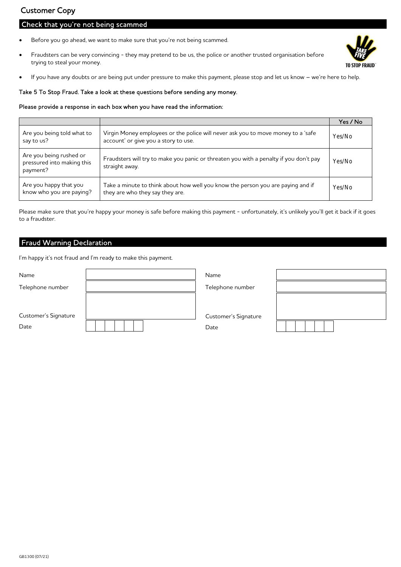## Customer Copy

## Check that you're not being scammed

- Before you go ahead, we want to make sure that you're not being scammed.
- Fraudsters can be very convincing they may pretend to be us, the police or another trusted organisation before trying to steal your money.



If you have any doubts or are being put under pressure to make this payment, please stop and let us know – we're here to help.

### Take 5 To Stop Fraud. Take a look at these questions before sending any money.

### Please provide a response in each box when you have read the information:

|                                                                   |                                                                                                                          | Yes / No |
|-------------------------------------------------------------------|--------------------------------------------------------------------------------------------------------------------------|----------|
| Are you being told what to<br>say to us?                          | Virgin Money employees or the police will never ask you to move money to a 'safe<br>account' or give you a story to use. | Yes/No   |
| Are you being rushed or<br>pressured into making this<br>payment? | Fraudsters will try to make you panic or threaten you with a penalty if you don't pay<br>straight away.                  | Yes/No   |
| Are you happy that you<br>know who you are paying?                | Take a minute to think about how well you know the person you are paying and if<br>they are who they say they are.       | Yes/No   |

Please make sure that you're happy your money is safe before making this payment - unfortunately, it's unlikely you'll get it back if it goes to a fraudster.

### Fraud Warning Declaration

I'm happy it's not fraud and I'm ready to make this payment.

| Name                 | Name                 |  |
|----------------------|----------------------|--|
| Telephone number     | Telephone number     |  |
|                      |                      |  |
| Customer's Signature | Customer's Signature |  |
| Date                 | Date                 |  |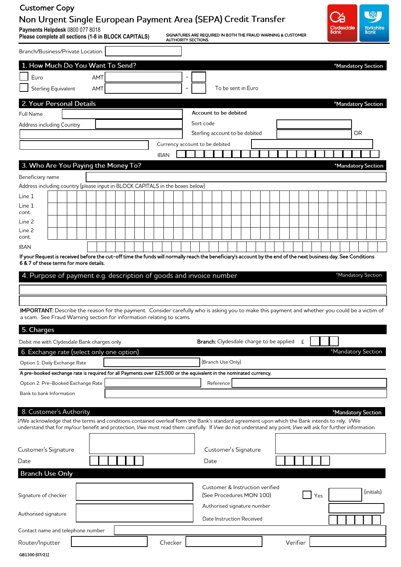## Customer CopyNon Urgent Single European Payment Area (SEPA) Credit Transfer

**Payments Helpdesk** 0800 077 8018

**Please complete all sections (1-8 in BLOCK CAPITALS)**

SIGNATURES ARE REQUIRED IN BOTH THE FRAUD WARNING & CUSTOMER AUTHORITY SECTIONS.



| Branch/Business/Private Location                                                                                                                                                                                                                                                                                                           |  |             |                                |     |  |  |  |  |  |  |         |  |  |    |  |                                                                                                                         |  |                    |  |  |  |          |   |  |     |  |  |  |  |  |                    |  |
|--------------------------------------------------------------------------------------------------------------------------------------------------------------------------------------------------------------------------------------------------------------------------------------------------------------------------------------------|--|-------------|--------------------------------|-----|--|--|--|--|--|--|---------|--|--|----|--|-------------------------------------------------------------------------------------------------------------------------|--|--------------------|--|--|--|----------|---|--|-----|--|--|--|--|--|--------------------|--|
| 1. How Much Do You Want To Send?                                                                                                                                                                                                                                                                                                           |  |             |                                |     |  |  |  |  |  |  |         |  |  |    |  |                                                                                                                         |  |                    |  |  |  |          |   |  |     |  |  |  |  |  | *Mandatory Section |  |
| Euro                                                                                                                                                                                                                                                                                                                                       |  |             |                                | AMT |  |  |  |  |  |  |         |  |  |    |  |                                                                                                                         |  |                    |  |  |  |          |   |  |     |  |  |  |  |  |                    |  |
| Sterling Equivalent                                                                                                                                                                                                                                                                                                                        |  |             |                                | AMT |  |  |  |  |  |  |         |  |  |    |  |                                                                                                                         |  | To be sent in Euro |  |  |  |          |   |  |     |  |  |  |  |  |                    |  |
| 2. Your Personal Details                                                                                                                                                                                                                                                                                                                   |  |             |                                |     |  |  |  |  |  |  |         |  |  |    |  |                                                                                                                         |  |                    |  |  |  |          |   |  |     |  |  |  |  |  | *Mandatory Section |  |
| Full Name                                                                                                                                                                                                                                                                                                                                  |  |             | Account to be debited          |     |  |  |  |  |  |  |         |  |  |    |  |                                                                                                                         |  |                    |  |  |  |          |   |  |     |  |  |  |  |  |                    |  |
| Address including Country                                                                                                                                                                                                                                                                                                                  |  |             | Sort code                      |     |  |  |  |  |  |  |         |  |  |    |  |                                                                                                                         |  |                    |  |  |  |          |   |  |     |  |  |  |  |  |                    |  |
|                                                                                                                                                                                                                                                                                                                                            |  |             | Sterling account to be debited |     |  |  |  |  |  |  |         |  |  | OR |  |                                                                                                                         |  |                    |  |  |  |          |   |  |     |  |  |  |  |  |                    |  |
|                                                                                                                                                                                                                                                                                                                                            |  |             | Currency account to be debited |     |  |  |  |  |  |  |         |  |  |    |  |                                                                                                                         |  |                    |  |  |  |          |   |  |     |  |  |  |  |  |                    |  |
|                                                                                                                                                                                                                                                                                                                                            |  | <b>IBAN</b> |                                |     |  |  |  |  |  |  |         |  |  |    |  |                                                                                                                         |  |                    |  |  |  |          |   |  |     |  |  |  |  |  |                    |  |
| 3. Who Are You Paying the Money To?                                                                                                                                                                                                                                                                                                        |  |             |                                |     |  |  |  |  |  |  |         |  |  |    |  |                                                                                                                         |  |                    |  |  |  |          |   |  |     |  |  |  |  |  | *Mandatory Section |  |
| Beneficiary name                                                                                                                                                                                                                                                                                                                           |  |             |                                |     |  |  |  |  |  |  |         |  |  |    |  |                                                                                                                         |  |                    |  |  |  |          |   |  |     |  |  |  |  |  |                    |  |
| Address including country (please input in BLOCK CAPITALS in the boxes below)                                                                                                                                                                                                                                                              |  |             |                                |     |  |  |  |  |  |  |         |  |  |    |  |                                                                                                                         |  |                    |  |  |  |          |   |  |     |  |  |  |  |  |                    |  |
| Line 1                                                                                                                                                                                                                                                                                                                                     |  |             |                                |     |  |  |  |  |  |  |         |  |  |    |  |                                                                                                                         |  |                    |  |  |  |          |   |  |     |  |  |  |  |  |                    |  |
| Line 1<br>cont.                                                                                                                                                                                                                                                                                                                            |  |             |                                |     |  |  |  |  |  |  |         |  |  |    |  |                                                                                                                         |  |                    |  |  |  |          |   |  |     |  |  |  |  |  |                    |  |
| Line 2                                                                                                                                                                                                                                                                                                                                     |  |             |                                |     |  |  |  |  |  |  |         |  |  |    |  |                                                                                                                         |  |                    |  |  |  |          |   |  |     |  |  |  |  |  |                    |  |
| Line 2<br>cont.                                                                                                                                                                                                                                                                                                                            |  |             |                                |     |  |  |  |  |  |  |         |  |  |    |  |                                                                                                                         |  |                    |  |  |  |          |   |  |     |  |  |  |  |  |                    |  |
| <b>IBAN</b>                                                                                                                                                                                                                                                                                                                                |  |             |                                |     |  |  |  |  |  |  |         |  |  |    |  |                                                                                                                         |  |                    |  |  |  |          |   |  |     |  |  |  |  |  |                    |  |
| If your Request is received before the cut-off time the funds will normally reach the beneficiary's account by the end of the next business day. See Conditions<br>6 & 7 of these terms for more details.                                                                                                                                  |  |             |                                |     |  |  |  |  |  |  |         |  |  |    |  |                                                                                                                         |  |                    |  |  |  |          |   |  |     |  |  |  |  |  |                    |  |
| IMPORTANT: Describe the reason for the payment. Consider carefully who is asking you to make this payment and whether you could be a victim of<br>a scam. See Fraud Warning section for information relating to scams.<br>5. Charges<br>Debit me with Clydesdale Bank charges only<br>6. Exchange rate (select only one option)            |  |             |                                |     |  |  |  |  |  |  |         |  |  |    |  | Branch: Clydesdale charge to be applied<br>(Branch Use Only)                                                            |  |                    |  |  |  |          | £ |  |     |  |  |  |  |  | *Mandatory Section |  |
| Option 1: Daily Exchange Rate<br>A pre-booked exchange rate is required for all Payments over £25,000 or the equivalent in the nominated currency.                                                                                                                                                                                         |  |             |                                |     |  |  |  |  |  |  |         |  |  |    |  |                                                                                                                         |  |                    |  |  |  |          |   |  |     |  |  |  |  |  |                    |  |
| Option 2: Pre-Booked Exchange Rate                                                                                                                                                                                                                                                                                                         |  |             |                                |     |  |  |  |  |  |  |         |  |  |    |  | Reference                                                                                                               |  |                    |  |  |  |          |   |  |     |  |  |  |  |  |                    |  |
| Bank to bank Information                                                                                                                                                                                                                                                                                                                   |  |             |                                |     |  |  |  |  |  |  |         |  |  |    |  |                                                                                                                         |  |                    |  |  |  |          |   |  |     |  |  |  |  |  |                    |  |
| 8. Customer's Authority<br>I/We acknowledge that the terms and conditions contained overleaf form the Bank's standard agreement upon which the Bank intends to rely. I/We<br>understand that for my/our benefit and protection, I/we must read them carefully. If I/we do not understand any point, I/we will ask for further information. |  |             |                                |     |  |  |  |  |  |  |         |  |  |    |  |                                                                                                                         |  |                    |  |  |  |          |   |  |     |  |  |  |  |  | *Mandatory Section |  |
| Customer's Signature                                                                                                                                                                                                                                                                                                                       |  |             |                                |     |  |  |  |  |  |  |         |  |  |    |  | Customer's Signature                                                                                                    |  |                    |  |  |  |          |   |  |     |  |  |  |  |  |                    |  |
| Date                                                                                                                                                                                                                                                                                                                                       |  |             |                                |     |  |  |  |  |  |  |         |  |  |    |  | Date                                                                                                                    |  |                    |  |  |  |          |   |  |     |  |  |  |  |  |                    |  |
| <b>Branch Use Only</b>                                                                                                                                                                                                                                                                                                                     |  |             |                                |     |  |  |  |  |  |  |         |  |  |    |  |                                                                                                                         |  |                    |  |  |  |          |   |  |     |  |  |  |  |  |                    |  |
| Signature of checker<br>Authorised signature                                                                                                                                                                                                                                                                                               |  |             |                                |     |  |  |  |  |  |  |         |  |  |    |  | Customer & Instruction verified<br>(See Procedures MON 100)<br>Authorised signature number<br>Date Instruction Received |  |                    |  |  |  |          |   |  | Yes |  |  |  |  |  | (initials)         |  |
| Contact name and telephone number                                                                                                                                                                                                                                                                                                          |  |             |                                |     |  |  |  |  |  |  |         |  |  |    |  |                                                                                                                         |  |                    |  |  |  |          |   |  |     |  |  |  |  |  |                    |  |
| Router/Inputter                                                                                                                                                                                                                                                                                                                            |  |             |                                |     |  |  |  |  |  |  | Checker |  |  |    |  |                                                                                                                         |  |                    |  |  |  | Verifier |   |  |     |  |  |  |  |  |                    |  |
| GB1300 (07/21)                                                                                                                                                                                                                                                                                                                             |  |             |                                |     |  |  |  |  |  |  |         |  |  |    |  |                                                                                                                         |  |                    |  |  |  |          |   |  |     |  |  |  |  |  |                    |  |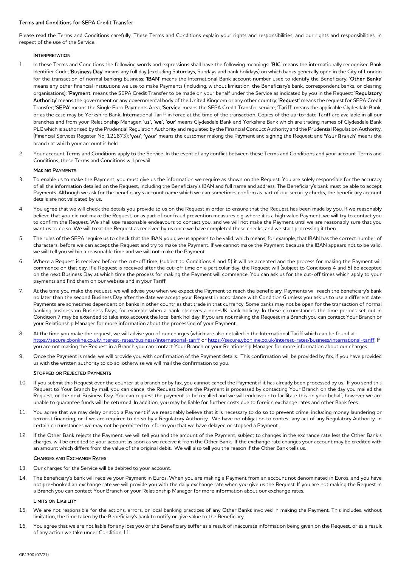### Terms and Conditions for SEPA Credit Transfer

Please read the Terms and Conditions carefully. These Terms and Conditions explain your rights and responsibilities, and our rights and responsibilities, in respect of the use of the Service.

### **INTERPRETATION**

- 1. In these Terms and Conditions the following words and expressions shall have the following meanings: 'BIC' means the internationally recognised Bank Identifier Code; 'Business Day' means any full day (excluding Saturdays, Sundays and bank holidays) on which banks generally open in the City of London for the transaction of normal banking business; 'IBAN' means the International Bank account number used to identify the Beneficiary; 'Other Banks' means any other financial institutions we use to make Payments (including, without limitation, the Beneficiary's bank, correspondent banks, or clearing organisations); 'Payment' means the SEPA Credit Transfer to be made on your behalf under the Service as indicated by you in the Request; 'Regulatory Authority' means the government or any governmental body of the United Kingdom or any other country; 'Request' means the request for SEPA Credit Transfer; 'SEPA' means the Single Euro Payments Area; 'Service' means the SEPA Credit Transfer service; 'Tariff' means the applicable Clydesdale Bank, or as the case may be Yorkshire Bank, International Tariff in force at the time of the transaction. Copies of the up-to-date Tariff are available in all our branches and from your Relationship Manager; 'us', 'we', 'our' means Clydesdale Bank and Yorkshire Bank which are trading names of Clydesdale Bank PLC which is authorised by the Prudential Regulation Authority and regulated by the Financial Conduct Authority and the Prudential Regulation Authority. (Financial Services Register No. 121873); 'you', 'your' means the customer making the Payment and signing the Request; and 'Your Branch' means the branch at which your account is held.
- 2. Your account Terms and Conditions apply to the Service. In the event of any conflict between these Terms and Conditions and your account Terms and Conditions, these Terms and Conditions will prevail.

### MAKING PAYMENTS

- 3. To enable us to make the Payment, you must give us the information we require as shown on the Request. You are solely responsible for the accuracy of all the information detailed on the Request, including the Beneficiary's IBAN and full name and address. The Beneficiary's bank must be able to accept Payments. Although we ask for the beneficiary's account name which we can sometimes confirm as part of our security checks, the beneficiary account details are not validated by us.
- 4. You agree that we will check the details you provide to us on the Request in order to ensure that the Request has been made by you. If we reasonably believe that you did not make the Request, or as part of our fraud prevention measures e.g. where it is a high value Payment, we will try to contact you to confirm the Request. We shall use reasonable endeavours to contact you, and we will not make the Payment until we are reasonably sure that you want us to do so. We will treat the Request as received by us once we have completed these checks, and we start processing it then.
- 5. The rules of the SEPA require us to check that the IBAN you give us appears to be valid, which means, for example, that IBAN has the correct number of characters, before we can accept the Request and try to make the Payment. If we cannot make the Payment because the IBAN appears not to be valid, we will tell you within a reasonable time and we will not make the Payment.
- 6. Where a Request is received before the cut-off time, (subject to Conditions 4 and 5) it will be accepted and the process for making the Payment will commence on that day. If a Request is received after the cut-off time on a particular day, the Request will (subject to Conditions 4 and 5) be accepted on the next Business Day at which time the process for making the Payment will commence. You can ask us for the cut-off times which apply to your payments and find them on our website and in your Tariff.
- 7. At the time you make the request, we will advise you when we expect the Payment to reach the beneficiary. Payments will reach the beneficiary's bank no later than the second Business Day after the date we accept your Request in accordance with Condition 6 unless you ask us to use a different date. Payments are sometimes dependent on banks in other countries that trade in that currency. Some banks may not be open for the transaction of normal banking business on Business Days, for example when a bank observes a non-UK bank holiday. In these circumstances the time periods set out in Condition 7 may be extended to take into account the local bank holiday. If you are not making the Request in a Branch you can contact Your Branch or your Relationship Manager for more information about the processing of your Payment.
- 8. At the time you make the request, we will advise you of our charges (which are also detailed in the International Tariff which can be found at https://secure.cbonline.co.uk/interest-rates/business/international-tariff or https://secure.ybonline.co.uk/interest-rates/business/international-tariff. If you are not making the Request in a Branch you can contact Your Branch or your Relationship Manager for more information about our charges.
- 9. Once the Payment is made, we will provide you with confirmation of the Payment details. This confirmation will be provided by fax, if you have provided us with the written authority to do so, otherwise we will mail the confirmation to you.

### STOPPED OR REJECTED PAYMENTS

- 10. If you submit this Request over the counter at a branch or by fax, you cannot cancel the Payment if it has already been processed by us. If you send this Request to Your Branch by mail, you can cancel the Request before the Payment is processed by contacting Your Branch on the day you mailed the Request, or the next Business Day. You can request the payment to be recalled and we will endeavour to facilitate this on your behalf, however we are unable to guarantee funds will be returned. In addition, you may be liable for further costs due to foreign exchange rates and other Bank fees.
- 11. You agree that we may delay or stop a Payment if we reasonably believe that it is necessary to do so to prevent crime, including money laundering or terrorist financing, or if we are required to do so by a Regulatory Authority. We have no obligation to contest any act of any Regulatory Authority. In certain circumstances we may not be permitted to inform you that we have delayed or stopped a Payment.
- 12. If the Other Bank rejects the Payment, we will tell you and the amount of the Payment, subject to changes in the exchange rate less the Other Bank's charges, will be credited to your account as soon as we receive it from the Other Bank. If the exchange rate changes your account may be credited with an amount which differs from the value of the original debit. We will also tell you the reason if the Other Bank tells us.

#### CHARGES AND EXCHANGE RATES

- 13. Our charges for the Service will be debited to your account.
- 14. The beneficiary's bank will receive your Payment in Euros. When you are making a Payment from an account not denominated in Euros, and you have not pre-booked an exchange rate we will provide you with the daily exchange rate when you give us the Request. If you are not making the Request in a Branch you can contact Your Branch or your Relationship Manager for more information about our exchange rates.

#### LIMITS ON LIABILITY

- 15. We are not responsible for the actions, errors, or local banking practices of any Other Banks involved in making the Payment. This includes, without limitation, the time taken by the Beneficiary's bank to notify or give value to the Beneficiary.
- 16. You agree that we are not liable for any loss you or the Beneficiary suffer as a result of inaccurate information being given on the Request, or as a result of any action we take under Condition 11.